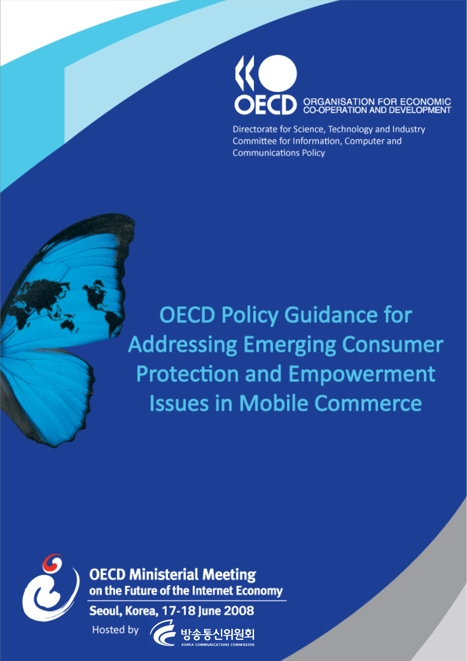

Directorate for Science, Technology and Industry Committee for Information, Computer and **Communications Policy** 

**OECD Policy Guidance for Addressing Emerging Consumer Protection and Empowerment Issues in Mobile Commerce** 



**OECD Ministerial Meeting** on the Future of the Internet Economy

Seoul, Korea, 17-18 June 2008 Hosted by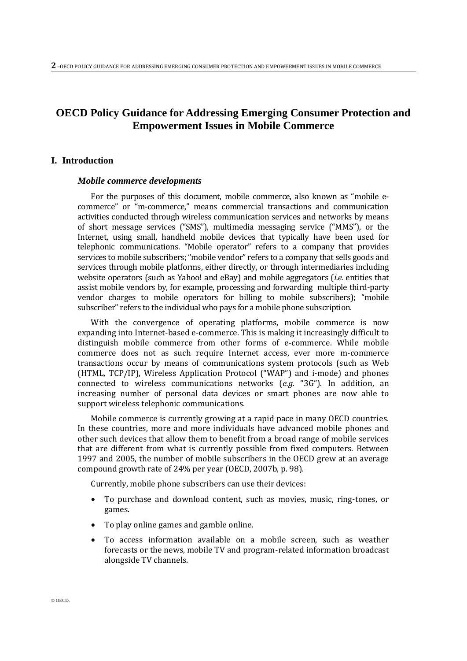# **OECD Policy Guidance for Addressing Emerging Consumer Protection and Empowerment Issues in Mobile Commerce**

## **I. Introduction**

#### *Mobile commerce developments*

For the purposes of this document, mobile commerce, also known as "mobile ecommerce" or "m-commerce," means commercial transactions and communication activities conducted through wireless communication services and networks by means of short message services ("SMS"), multimedia messaging service ("MMS"), or the Internet, using small, handheld mobile devices that typically have been used for telephonic communications. "Mobile operator" refers to a company that provides services to mobile subscribers; "mobile vendor" refers to a company that sells goods and services through mobile platforms, either directly, or through intermediaries including website operators (such as Yahoo! and eBay) and mobile aggregators (*i.e.* entities that assist mobile vendors by, for example, processing and forwarding multiple third-party vendor charges to mobile operators for billing to mobile subscribers); "mobile subscriber" refers to the individual who pays for a mobile phone subscription.

With the convergence of operating platforms, mobile commerce is now expanding into Internet-based e-commerce. This is making it increasingly difficult to distinguish mobile commerce from other forms of e-commerce. While mobile commerce does not as such require Internet access, ever more m-commerce transactions occur by means of communications system protocols (such as Web (HTML, TCP/IP), Wireless Application Protocol ("WAP") and i-mode) and phones connected to wireless communications networks (*e.g.* "3G"). In addition, an increasing number of personal data devices or smart phones are now able to support wireless telephonic communications.

Mobile commerce is currently growing at a rapid pace in many OECD countries. In these countries, more and more individuals have advanced mobile phones and other such devices that allow them to benefit from a broad range of mobile services that are different from what is currently possible from fixed computers. Between 1997 and 2005, the number of mobile subscribers in the OECD grew at an average compound growth rate of 24% per year (OECD, 2007b, p. 98).

Currently, mobile phone subscribers can use their devices:

- To purchase and download content, such as movies, music, ring-tones, or games.
- To play online games and gamble online.
- To access information available on a mobile screen, such as weather forecasts or the news, mobile TV and program-related information broadcast alongside TV channels.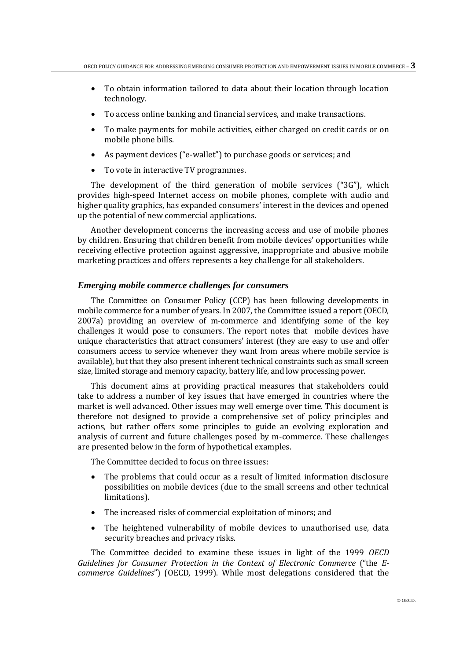- To obtain information tailored to data about their location through location technology.
- To access online banking and financial services, and make transactions.
- To make payments for mobile activities, either charged on credit cards or on mobile phone bills.
- As payment devices ("e-wallet") to purchase goods or services; and
- To vote in interactive TV programmes.

The development of the third generation of mobile services ("3G"), which provides high-speed Internet access on mobile phones, complete with audio and higher quality graphics, has expanded consumers' interest in the devices and opened up the potential of new commercial applications.

Another development concerns the increasing access and use of mobile phones by children. Ensuring that children benefit from mobile devices' opportunities while receiving effective protection against aggressive, inappropriate and abusive mobile marketing practices and offers represents a key challenge for all stakeholders.

#### *Emerging mobile commerce challenges for consumers*

The Committee on Consumer Policy (CCP) has been following developments in mobile commerce for a number of years. In 2007, the Committee issued a report (OECD, 2007a) providing an overview of m-commerce and identifying some of the key challenges it would pose to consumers. The report notes that mobile devices have unique characteristics that attract consumers' interest (they are easy to use and offer consumers access to service whenever they want from areas where mobile service is available), but that they also present inherent technical constraints such as small screen size, limited storage and memory capacity, battery life, and low processing power.

This document aims at providing practical measures that stakeholders could take to address a number of key issues that have emerged in countries where the market is well advanced. Other issues may well emerge over time. This document is therefore not designed to provide a comprehensive set of policy principles and actions, but rather offers some principles to guide an evolving exploration and analysis of current and future challenges posed by m-commerce. These challenges are presented below in the form of hypothetical examples.

The Committee decided to focus on three issues:

- The problems that could occur as a result of limited information disclosure possibilities on mobile devices (due to the small screens and other technical limitations).
- The increased risks of commercial exploitation of minors; and
- The heightened vulnerability of mobile devices to unauthorised use, data security breaches and privacy risks.

The Committee decided to examine these issues in light of the 1999 *OECD Guidelines for Consumer Protection in the Context of Electronic Commerce* ("the *Ecommerce Guidelines*") (OECD, 1999). While most delegations considered that the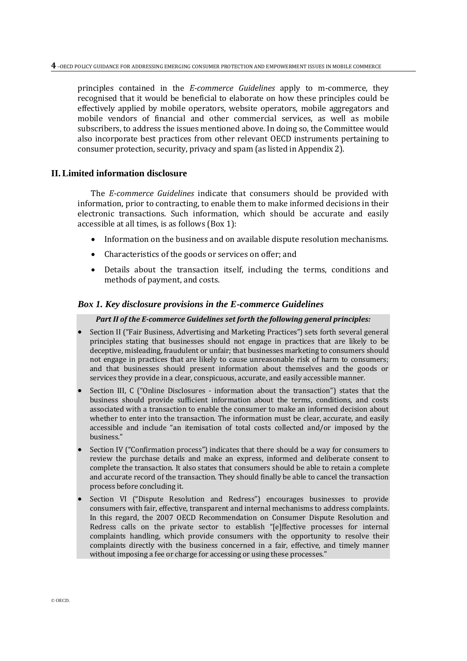principles contained in the *E-commerce Guidelines* apply to m-commerce, they recognised that it would be beneficial to elaborate on how these principles could be effectively applied by mobile operators, website operators, mobile aggregators and mobile vendors of financial and other commercial services, as well as mobile subscribers, to address the issues mentioned above. In doing so, the Committee would also incorporate best practices from other relevant OECD instruments pertaining to consumer protection, security, privacy and spam (as listed in Appendix 2).

## **II.Limited information disclosure**

The *E-commerce Guidelines* indicate that consumers should be provided with information, prior to contracting, to enable them to make informed decisions in their electronic transactions. Such information, which should be accurate and easily accessible at all times, is as follows (Box 1):

- Information on the business and on available dispute resolution mechanisms.
- Characteristics of the goods or services on offer; and
- Details about the transaction itself, including the terms, conditions and methods of payment, and costs.

## *Box 1. Key disclosure provisions in the E-commerce Guidelines*

## *Part II of the E-commerce Guidelines set forth the following general principles:*

- Section II ("Fair Business, Advertising and Marketing Practices") sets forth several general principles stating that businesses should not engage in practices that are likely to be deceptive, misleading, fraudulent or unfair; that businesses marketing to consumers should not engage in practices that are likely to cause unreasonable risk of harm to consumers; and that businesses should present information about themselves and the goods or services they provide in a clear, conspicuous, accurate, and easily accessible manner.
- Section III, C ("Online Disclosures information about the transaction") states that the business should provide sufficient information about the terms, conditions, and costs associated with a transaction to enable the consumer to make an informed decision about whether to enter into the transaction. The information must be clear, accurate, and easily accessible and include "an itemisation of total costs collected and/or imposed by the business."
- Section IV ("Confirmation process") indicates that there should be a way for consumers to review the purchase details and make an express, informed and deliberate consent to complete the transaction. It also states that consumers should be able to retain a complete and accurate record of the transaction. They should finally be able to cancel the transaction process before concluding it.
- Section VI ("Dispute Resolution and Redress") encourages businesses to provide consumers with fair, effective, transparent and internal mechanisms to address complaints. In this regard, the 2007 OECD Recommendation on Consumer Dispute Resolution and Redress calls on the private sector to establish "[e]ffective processes for internal complaints handling, which provide consumers with the opportunity to resolve their complaints directly with the business concerned in a fair, effective, and timely manner without imposing a fee or charge for accessing or using these processes."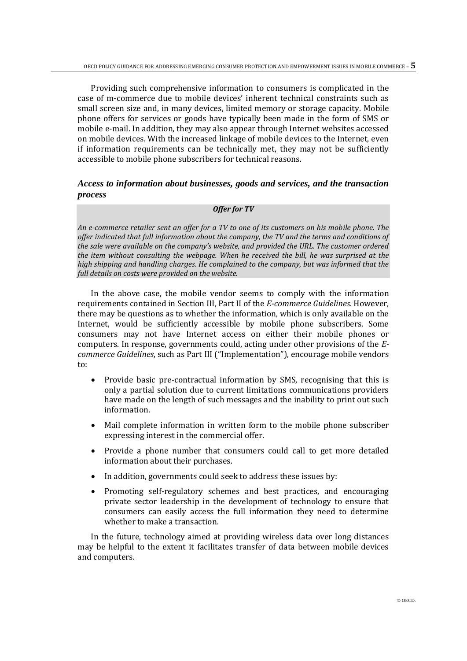Providing such comprehensive information to consumers is complicated in the case of m-commerce due to mobile devices' inherent technical constraints such as small screen size and, in many devices, limited memory or storage capacity. Mobile phone offers for services or goods have typically been made in the form of SMS or mobile e-mail. In addition, they may also appear through Internet websites accessed on mobile devices. With the increased linkage of mobile devices to the Internet, even if information requirements can be technically met, they may not be sufficiently accessible to mobile phone subscribers for technical reasons.

## *Access to information about businesses, goods and services, and the transaction process*

#### *Offer for TV*

*An e-commerce retailer sent an offer for a TV to one of its customers on his mobile phone. The offer indicated that full information about the company, the TV and the terms and conditions of the sale were available on the company's website, and provided the URL. The customer ordered the item without consulting the webpage. When he received the bill, he was surprised at the high shipping and handling charges. He complained to the company, but was informed that the full details on costs were provided on the website.* 

In the above case, the mobile vendor seems to comply with the information requirements contained in Section III, Part II of the *E-commerce Guidelines*. However, there may be questions as to whether the information, which is only available on the Internet, would be sufficiently accessible by mobile phone subscribers. Some consumers may not have Internet access on either their mobile phones or computers. In response, governments could, acting under other provisions of the *Ecommerce Guidelines*, such as Part III ("Implementation"), encourage mobile vendors to:

- Provide basic pre-contractual information by SMS, recognising that this is only a partial solution due to current limitations communications providers have made on the length of such messages and the inability to print out such information.
- Mail complete information in written form to the mobile phone subscriber expressing interest in the commercial offer.
- Provide a phone number that consumers could call to get more detailed information about their purchases.
- In addition, governments could seek to address these issues by:
- Promoting self-regulatory schemes and best practices, and encouraging private sector leadership in the development of technology to ensure that consumers can easily access the full information they need to determine whether to make a transaction.

In the future, technology aimed at providing wireless data over long distances may be helpful to the extent it facilitates transfer of data between mobile devices and computers.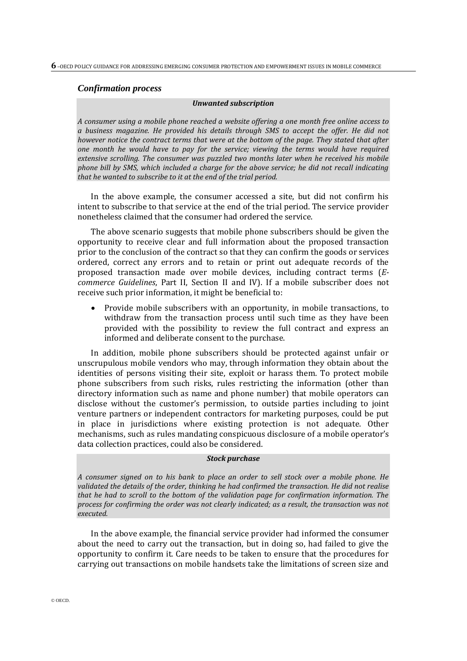#### *Confirmation process*

#### *Unwanted subscription*

*A consumer using a mobile phone reached a website offering a one month free online access to a business magazine. He provided his details through SMS to accept the offer. He did not however notice the contract terms that were at the bottom of the page. They stated that after one month he would have to pay for the service; viewing the terms would have required extensive scrolling. The consumer was puzzled two months later when he received his mobile phone bill by SMS, which included a charge for the above service; he did not recall indicating that he wanted to subscribe to it at the end of the trial period.* 

In the above example, the consumer accessed a site, but did not confirm his intent to subscribe to that service at the end of the trial period. The service provider nonetheless claimed that the consumer had ordered the service.

The above scenario suggests that mobile phone subscribers should be given the opportunity to receive clear and full information about the proposed transaction prior to the conclusion of the contract so that they can confirm the goods or services ordered, correct any errors and to retain or print out adequate records of the proposed transaction made over mobile devices, including contract terms (*Ecommerce Guidelines*, Part II, Section II and IV). If a mobile subscriber does not receive such prior information, it might be beneficial to:

 Provide mobile subscribers with an opportunity, in mobile transactions, to withdraw from the transaction process until such time as they have been provided with the possibility to review the full contract and express an informed and deliberate consent to the purchase.

In addition, mobile phone subscribers should be protected against unfair or unscrupulous mobile vendors who may, through information they obtain about the identities of persons visiting their site, exploit or harass them. To protect mobile phone subscribers from such risks, rules restricting the information (other than directory information such as name and phone number) that mobile operators can disclose without the customer's permission, to outside parties including to joint venture partners or independent contractors for marketing purposes, could be put in place in jurisdictions where existing protection is not adequate. Other mechanisms, such as rules mandating conspicuous disclosure of a mobile operator's data collection practices, could also be considered.

## *Stock purchase*

*A consumer signed on to his bank to place an order to sell stock over a mobile phone. He validated the details of the order, thinking he had confirmed the transaction. He did not realise that he had to scroll to the bottom of the validation page for confirmation information. The process for confirming the order was not clearly indicated; as a result, the transaction was not executed.* 

In the above example, the financial service provider had informed the consumer about the need to carry out the transaction, but in doing so, had failed to give the opportunity to confirm it. Care needs to be taken to ensure that the procedures for carrying out transactions on mobile handsets take the limitations of screen size and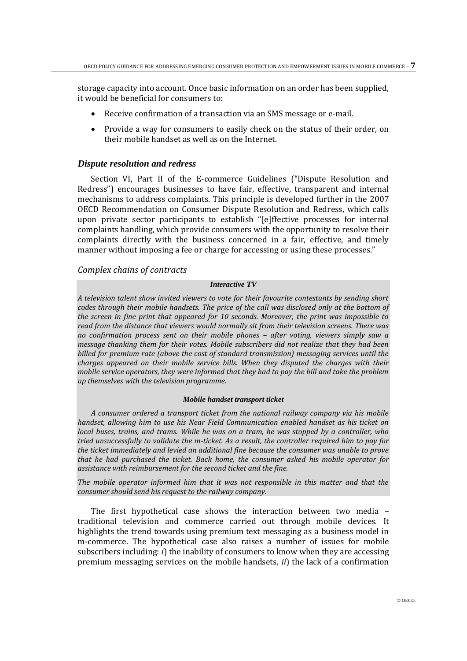storage capacity into account. Once basic information on an order has been supplied, it would be beneficial for consumers to:

- Receive confirmation of a transaction via an SMS message or e-mail.
- Provide a way for consumers to easily check on the status of their order, on their mobile handset as well as on the Internet.

#### *Dispute resolution and redress*

Section VI, Part II of the E-commerce Guidelines ("Dispute Resolution and Redress") encourages businesses to have fair, effective, transparent and internal mechanisms to address complaints. This principle is developed further in the 2007 OECD Recommendation on Consumer Dispute Resolution and Redress, which calls upon private sector participants to establish "[e]ffective processes for internal complaints handling, which provide consumers with the opportunity to resolve their complaints directly with the business concerned in a fair, effective, and timely manner without imposing a fee or charge for accessing or using these processes."

## *Complex chains of contracts*

#### *Interactive TV*

*A television talent show invited viewers to vote for their favourite contestants by sending short codes through their mobile handsets. The price of the call was disclosed only at the bottom of the screen in fine print that appeared for 10 seconds. Moreover, the print was impossible to read from the distance that viewers would normally sit from their television screens. There was no confirmation process sent on their mobile phones – after voting, viewers simply saw a message thanking them for their votes. Mobile subscribers did not realize that they had been billed for premium rate (above the cost of standard transmission) messaging services until the charges appeared on their mobile service bills. When they disputed the charges with their mobile service operators, they were informed that they had to pay the bill and take the problem up themselves with the television programme.*

## *Mobile handset transport ticket*

*A consumer ordered a transport ticket from the national railway company via his mobile handset, allowing him to use his Near Field Communication enabled handset as his ticket on local buses, trains, and trams. While he was on a tram, he was stopped by a controller, who tried unsuccessfully to validate the m-ticket. As a result, the controller required him to pay for the ticket immediately and levied an additional fine because the consumer was unable to prove that he had purchased the ticket. Back home, the consumer asked his mobile operator for assistance with reimbursement for the second ticket and the fine.* 

*The mobile operator informed him that it was not responsible in this matter and that the consumer should send his request to the railway company.*

The first hypothetical case shows the interaction between two media – traditional television and commerce carried out through mobile devices. It highlights the trend towards using premium text messaging as a business model in m-commerce. The hypothetical case also raises a number of issues for mobile subscribers including: *i*) the inability of consumers to know when they are accessing premium messaging services on the mobile handsets, *ii*) the lack of a confirmation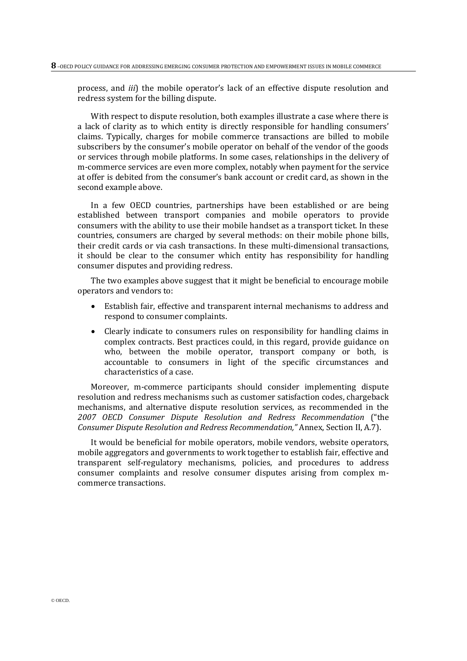process, and *iii*) the mobile operator's lack of an effective dispute resolution and redress system for the billing dispute.

With respect to dispute resolution, both examples illustrate a case where there is a lack of clarity as to which entity is directly responsible for handling consumers' claims. Typically, charges for mobile commerce transactions are billed to mobile subscribers by the consumer's mobile operator on behalf of the vendor of the goods or services through mobile platforms. In some cases, relationships in the delivery of m-commerce services are even more complex, notably when payment for the service at offer is debited from the consumer's bank account or credit card, as shown in the second example above.

In a few OECD countries, partnerships have been established or are being established between transport companies and mobile operators to provide consumers with the ability to use their mobile handset as a transport ticket. In these countries, consumers are charged by several methods: on their mobile phone bills, their credit cards or via cash transactions. In these multi-dimensional transactions, it should be clear to the consumer which entity has responsibility for handling consumer disputes and providing redress.

The two examples above suggest that it might be beneficial to encourage mobile operators and vendors to:

- Establish fair, effective and transparent internal mechanisms to address and respond to consumer complaints.
- Clearly indicate to consumers rules on responsibility for handling claims in complex contracts. Best practices could, in this regard, provide guidance on who, between the mobile operator, transport company or both, is accountable to consumers in light of the specific circumstances and characteristics of a case.

Moreover, m-commerce participants should consider implementing dispute resolution and redress mechanisms such as customer satisfaction codes, chargeback mechanisms, and alternative dispute resolution services, as recommended in the *2007 OECD Consumer Dispute Resolution and Redress Recommendation* ("the *Consumer Dispute Resolution and Redress Recommendation,"* Annex, Section II, A.7).

It would be beneficial for mobile operators, mobile vendors, website operators, mobile aggregators and governments to work together to establish fair, effective and transparent self-regulatory mechanisms, policies, and procedures to address consumer complaints and resolve consumer disputes arising from complex mcommerce transactions.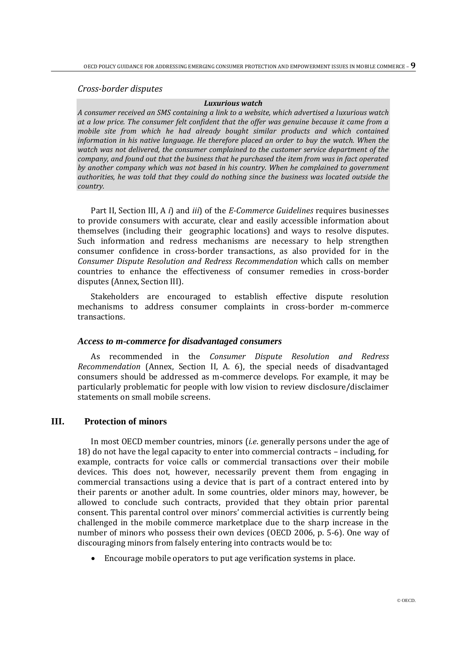*Cross-border disputes* 

#### *Luxurious watch*

*A consumer received an SMS containing a link to a website, which advertised a luxurious watch at a low price. The consumer felt confident that the offer was genuine because it came from a mobile site from which he had already bought similar products and which contained information in his native language. He therefore placed an order to buy the watch. When the watch was not delivered, the consumer complained to the customer service department of the company, and found out that the business that he purchased the item from was in fact operated by another company which was not based in his country. When he complained to government authorities, he was told that they could do nothing since the business was located outside the country.* 

Part II, Section III, A *i*) and *iii*) of the *E-Commerce Guidelines* requires businesses to provide consumers with accurate, clear and easily accessible information about themselves (including their geographic locations) and ways to resolve disputes. Such information and redress mechanisms are necessary to help strengthen consumer confidence in cross-border transactions, as also provided for in the *Consumer Dispute Resolution and Redress Recommendation* which calls on member countries to enhance the effectiveness of consumer remedies in cross-border disputes (Annex, Section III).

Stakeholders are encouraged to establish effective dispute resolution mechanisms to address consumer complaints in cross-border m-commerce transactions.

## *Access to m-commerce for disadvantaged consumers*

As recommended in the *Consumer Dispute Resolution and Redress Recommendation* (Annex, Section II, A. 6), the special needs of disadvantaged consumers should be addressed as m-commerce develops. For example, it may be particularly problematic for people with low vision to review disclosure/disclaimer statements on small mobile screens.

## **III. Protection of minors**

In most OECD member countries, minors (*i.e*. generally persons under the age of 18) do not have the legal capacity to enter into commercial contracts – including, for example, contracts for voice calls or commercial transactions over their mobile devices. This does not, however, necessarily prevent them from engaging in commercial transactions using a device that is part of a contract entered into by their parents or another adult. In some countries, older minors may, however, be allowed to conclude such contracts, provided that they obtain prior parental consent. This parental control over minors' commercial activities is currently being challenged in the mobile commerce marketplace due to the sharp increase in the number of minors who possess their own devices (OECD 2006, p. 5-6). One way of discouraging minors from falsely entering into contracts would be to:

Encourage mobile operators to put age verification systems in place.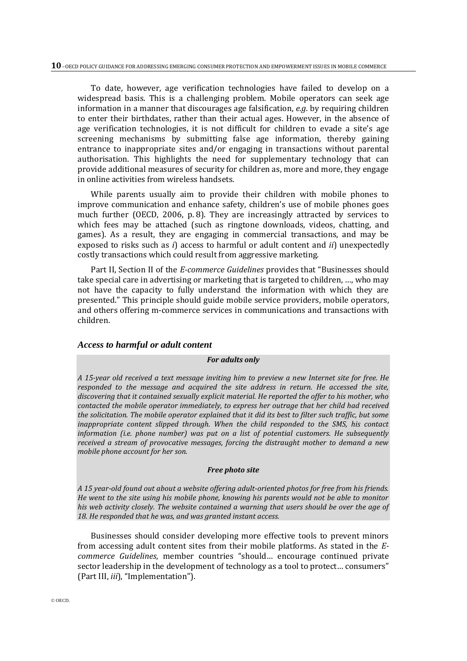To date, however, age verification technologies have failed to develop on a widespread basis. This is a challenging problem. Mobile operators can seek age information in a manner that discourages age falsification, *e.g*. by requiring children to enter their birthdates, rather than their actual ages. However, in the absence of age verification technologies, it is not difficult for children to evade a site's age screening mechanisms by submitting false age information, thereby gaining entrance to inappropriate sites and/or engaging in transactions without parental authorisation. This highlights the need for supplementary technology that can provide additional measures of security for children as, more and more, they engage in online activities from wireless handsets.

While parents usually aim to provide their children with mobile phones to improve communication and enhance safety, children's use of mobile phones goes much further (OECD, 2006, p. 8). They are increasingly attracted by services to which fees may be attached (such as ringtone downloads, videos, chatting, and games). As a result, they are engaging in commercial transactions, and may be exposed to risks such as *i*) access to harmful or adult content and *ii*) unexpectedly costly transactions which could result from aggressive marketing.

Part II, Section II of the *E-commerce Guidelines* provides that "Businesses should take special care in advertising or marketing that is targeted to children, …, who may not have the capacity to fully understand the information with which they are presented." This principle should guide mobile service providers, mobile operators, and others offering m-commerce services in communications and transactions with children.

## *Access to harmful or adult content*

#### *For adults only*

*A 15-year old received a text message inviting him to preview a new Internet site for free. He responded to the message and acquired the site address in return. He accessed the site, discovering that it contained sexually explicit material. He reported the offer to his mother, who contacted the mobile operator immediately, to express her outrage that her child had received the solicitation. The mobile operator explained that it did its best to filter such traffic, but some inappropriate content slipped through. When the child responded to the SMS, his contact information (i.e. phone number) was put on a list of potential customers. He subsequently received a stream of provocative messages, forcing the distraught mother to demand a new mobile phone account for her son.*

#### *Free photo site*

*A 15 year-old found out about a website offering adult-oriented photos for free from his friends. He went to the site using his mobile phone, knowing his parents would not be able to monitor his web activity closely. The website contained a warning that users should be over the age of 18. He responded that he was, and was granted instant access.*

Businesses should consider developing more effective tools to prevent minors from accessing adult content sites from their mobile platforms. As stated in the *Ecommerce Guidelines*, member countries "should… encourage continued private sector leadership in the development of technology as a tool to protect… consumers" (Part III, *iii*), "Implementation").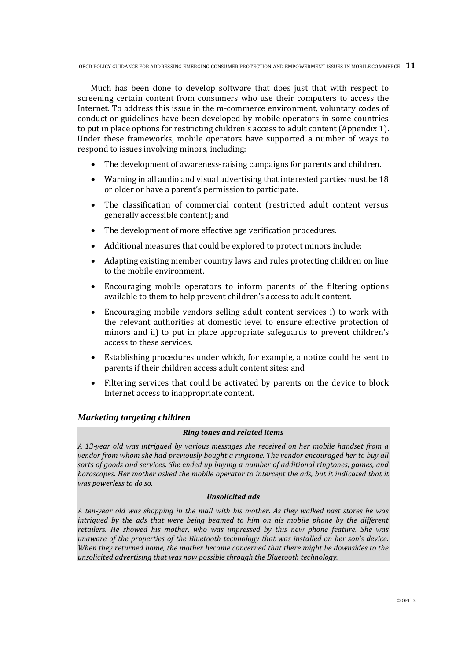Much has been done to develop software that does just that with respect to screening certain content from consumers who use their computers to access the Internet. To address this issue in the m-commerce environment, voluntary codes of conduct or guidelines have been developed by mobile operators in some countries to put in place options for restricting children's access to adult content (Appendix 1). Under these frameworks, mobile operators have supported a number of ways to respond to issues involving minors, including:

- The development of awareness-raising campaigns for parents and children.
- Warning in all audio and visual advertising that interested parties must be 18 or older or have a parent's permission to participate.
- The classification of commercial content (restricted adult content versus generally accessible content); and
- The development of more effective age verification procedures.
- Additional measures that could be explored to protect minors include:
- Adapting existing member country laws and rules protecting children on line to the mobile environment.
- Encouraging mobile operators to inform parents of the filtering options available to them to help prevent children's access to adult content.
- Encouraging mobile vendors selling adult content services i) to work with the relevant authorities at domestic level to ensure effective protection of minors and ii) to put in place appropriate safeguards to prevent children's access to these services.
- Establishing procedures under which, for example, a notice could be sent to parents if their children access adult content sites; and
- Filtering services that could be activated by parents on the device to block Internet access to inappropriate content.

## *Marketing targeting children*

## *Ring tones and related items*

*A 13-year old was intrigued by various messages she received on her mobile handset from a vendor from whom she had previously bought a ringtone. The vendor encouraged her to buy all sorts of goods and services. She ended up buying a number of additional ringtones, games, and*  horoscopes. Her mother asked the mobile operator to intercept the ads, but it indicated that it *was powerless to do so.*

## *Unsolicited ads*

*A ten-year old was shopping in the mall with his mother. As they walked past stores he was intrigued by the ads that were being beamed to him on his mobile phone by the different retailers. He showed his mother, who was impressed by this new phone feature. She was unaware of the properties of the Bluetooth technology that was installed on her son's device. When they returned home, the mother became concerned that there might be downsides to the unsolicited advertising that was now possible through the Bluetooth technology.*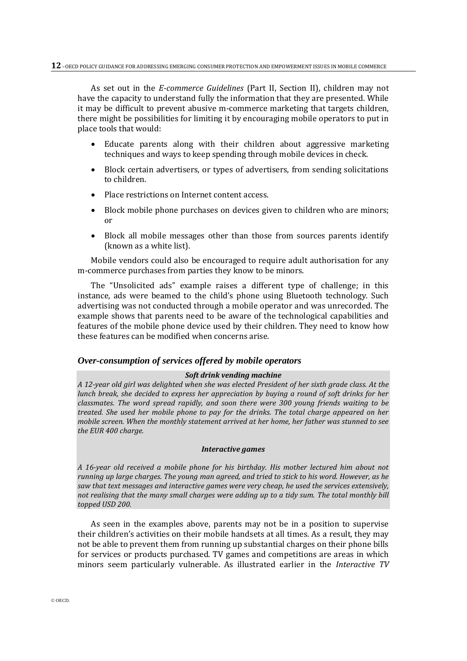As set out in the *E-commerce Guidelines* (Part II, Section II), children may not have the capacity to understand fully the information that they are presented. While it may be difficult to prevent abusive m-commerce marketing that targets children, there might be possibilities for limiting it by encouraging mobile operators to put in place tools that would:

- Educate parents along with their children about aggressive marketing techniques and ways to keep spending through mobile devices in check.
- Block certain advertisers, or types of advertisers, from sending solicitations to children.
- Place restrictions on Internet content access.
- Block mobile phone purchases on devices given to children who are minors; or
- Block all mobile messages other than those from sources parents identify (known as a white list).

Mobile vendors could also be encouraged to require adult authorisation for any m-commerce purchases from parties they know to be minors.

The "Unsolicited ads" example raises a different type of challenge; in this instance, ads were beamed to the child's phone using Bluetooth technology. Such advertising was not conducted through a mobile operator and was unrecorded. The example shows that parents need to be aware of the technological capabilities and features of the mobile phone device used by their children. They need to know how these features can be modified when concerns arise.

## *Over-consumption of services offered by mobile operators*

## *Soft drink vending machine*

*A 12-year old girl was delighted when she was elected President of her sixth grade class. At the lunch break, she decided to express her appreciation by buying a round of soft drinks for her classmates. The word spread rapidly, and soon there were 300 young friends waiting to be treated. She used her mobile phone to pay for the drinks. The total charge appeared on her mobile screen. When the monthly statement arrived at her home, her father was stunned to see the EUR 400 charge.* 

#### *Interactive games*

*A 16-year old received a mobile phone for his birthday. His mother lectured him about not running up large charges. The young man agreed, and tried to stick to his word. However, as he saw that text messages and interactive games were very cheap, he used the services extensively, not realising that the many small charges were adding up to a tidy sum. The total monthly bill topped USD 200.*

As seen in the examples above, parents may not be in a position to supervise their children's activities on their mobile handsets at all times. As a result, they may not be able to prevent them from running up substantial charges on their phone bills for services or products purchased. TV games and competitions are areas in which minors seem particularly vulnerable. As illustrated earlier in the *Interactive TV*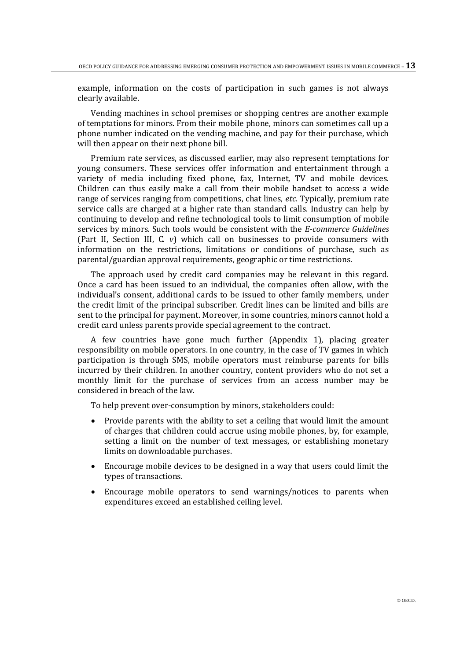example, information on the costs of participation in such games is not always clearly available.

Vending machines in school premises or shopping centres are another example of temptations for minors. From their mobile phone, minors can sometimes call up a phone number indicated on the vending machine, and pay for their purchase, which will then appear on their next phone bill.

Premium rate services, as discussed earlier, may also represent temptations for young consumers. These services offer information and entertainment through a variety of media including fixed phone, fax, Internet, TV and mobile devices. Children can thus easily make a call from their mobile handset to access a wide range of services ranging from competitions, chat lines, *etc.* Typically, premium rate service calls are charged at a higher rate than standard calls. Industry can help by continuing to develop and refine technological tools to limit consumption of mobile services by minors. Such tools would be consistent with the *E-commerce Guidelines* (Part II, Section III, C. *v*) which call on businesses to provide consumers with information on the restrictions, limitations or conditions of purchase, such as parental/guardian approval requirements, geographic or time restrictions.

The approach used by credit card companies may be relevant in this regard. Once a card has been issued to an individual, the companies often allow, with the individual's consent, additional cards to be issued to other family members, under the credit limit of the principal subscriber. Credit lines can be limited and bills are sent to the principal for payment. Moreover, in some countries, minors cannot hold a credit card unless parents provide special agreement to the contract.

A few countries have gone much further (Appendix 1), placing greater responsibility on mobile operators. In one country, in the case of TV games in which participation is through SMS, mobile operators must reimburse parents for bills incurred by their children. In another country, content providers who do not set a monthly limit for the purchase of services from an access number may be considered in breach of the law.

To help prevent over-consumption by minors, stakeholders could:

- Provide parents with the ability to set a ceiling that would limit the amount of charges that children could accrue using mobile phones, by, for example, setting a limit on the number of text messages, or establishing monetary limits on downloadable purchases.
- Encourage mobile devices to be designed in a way that users could limit the types of transactions.
- Encourage mobile operators to send warnings/notices to parents when expenditures exceed an established ceiling level.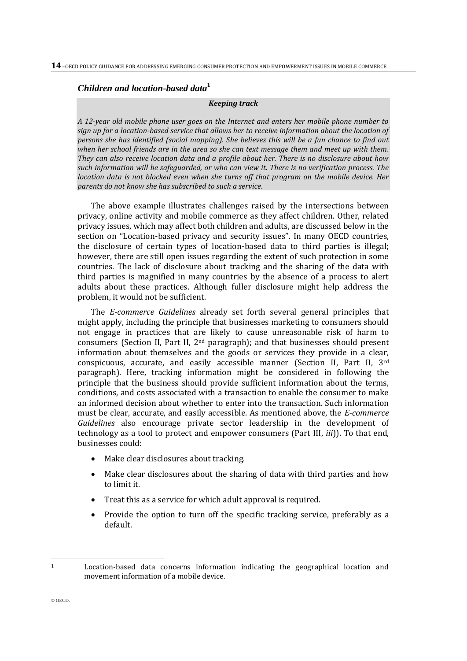# *Children and location-based data***<sup>1</sup>**

#### *Keeping track*

*A 12-year old mobile phone user goes on the Internet and enters her mobile phone number to sign up for a location-based service that allows her to receive information about the location of persons she has identified (social mapping). She believes this will be a fun chance to find out when her school friends are in the area so she can text message them and meet up with them. They can also receive location data and a profile about her. There is no disclosure about how such information will be safeguarded, or who can view it. There is no verification process. The location data is not blocked even when she turns off that program on the mobile device. Her parents do not know she has subscribed to such a service*.

The above example illustrates challenges raised by the intersections between privacy, online activity and mobile commerce as they affect children. Other, related privacy issues, which may affect both children and adults, are discussed below in the section on "Location-based privacy and security issues". In many OECD countries, the disclosure of certain types of location-based data to third parties is illegal; however, there are still open issues regarding the extent of such protection in some countries. The lack of disclosure about tracking and the sharing of the data with third parties is magnified in many countries by the absence of a process to alert adults about these practices. Although fuller disclosure might help address the problem, it would not be sufficient.

The *E-commerce Guidelines* already set forth several general principles that might apply, including the principle that businesses marketing to consumers should not engage in practices that are likely to cause unreasonable risk of harm to consumers (Section II, Part II,  $2<sup>nd</sup>$  paragraph); and that businesses should present information about themselves and the goods or services they provide in a clear, conspicuous, accurate, and easily accessible manner (Section II, Part II, 3rd paragraph). Here, tracking information might be considered in following the principle that the business should provide sufficient information about the terms, conditions, and costs associated with a transaction to enable the consumer to make an informed decision about whether to enter into the transaction. Such information must be clear, accurate, and easily accessible. As mentioned above, the *E-commerce Guidelines* also encourage private sector leadership in the development of technology as a tool to protect and empower consumers (Part III, *iii*)). To that end, businesses could:

- Make clear disclosures about tracking.
- Make clear disclosures about the sharing of data with third parties and how to limit it.
- Treat this as a service for which adult approval is required.
- Provide the option to turn off the specific tracking service, preferably as a default.

l

<sup>1</sup> Location-based data concerns information indicating the geographical location and movement information of a mobile device.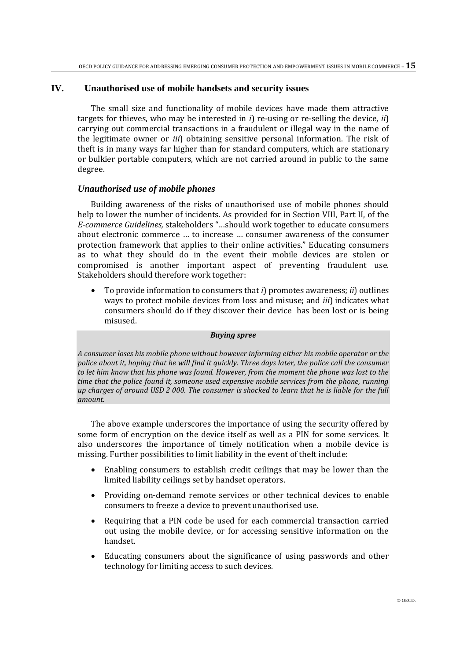## **IV. Unauthorised use of mobile handsets and security issues**

The small size and functionality of mobile devices have made them attractive targets for thieves, who may be interested in *i*) re-using or re-selling the device, *ii*) carrying out commercial transactions in a fraudulent or illegal way in the name of the legitimate owner or *iii*) obtaining sensitive personal information. The risk of theft is in many ways far higher than for standard computers, which are stationary or bulkier portable computers, which are not carried around in public to the same degree.

## *Unauthorised use of mobile phones*

Building awareness of the risks of unauthorised use of mobile phones should help to lower the number of incidents. As provided for in Section VIII, Part II, of the *E-commerce Guidelines,* stakeholders "…should work together to educate consumers about electronic commerce … to increase … consumer awareness of the consumer protection framework that applies to their online activities." Educating consumers as to what they should do in the event their mobile devices are stolen or compromised is another important aspect of preventing fraudulent use. Stakeholders should therefore work together:

 To provide information to consumers that *i*) promotes awareness; *ii*) outlines ways to protect mobile devices from loss and misuse; and *iii*) indicates what consumers should do if they discover their device has been lost or is being misused.

#### *Buying spree*

*A consumer loses his mobile phone without however informing either his mobile operator or the police about it, hoping that he will find it quickly. Three days later, the police call the consumer to let him know that his phone was found. However, from the moment the phone was lost to the time that the police found it, someone used expensive mobile services from the phone, running up charges of around USD 2 000. The consumer is shocked to learn that he is liable for the full amount.*

The above example underscores the importance of using the security offered by some form of encryption on the device itself as well as a PIN for some services. It also underscores the importance of timely notification when a mobile device is missing. Further possibilities to limit liability in the event of theft include:

- Enabling consumers to establish credit ceilings that may be lower than the limited liability ceilings set by handset operators.
- Providing on-demand remote services or other technical devices to enable consumers to freeze a device to prevent unauthorised use.
- Requiring that a PIN code be used for each commercial transaction carried out using the mobile device, or for accessing sensitive information on the handset.
- Educating consumers about the significance of using passwords and other technology for limiting access to such devices.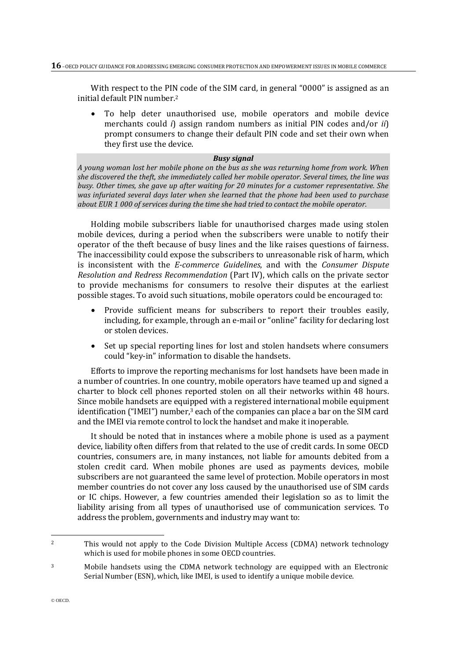With respect to the PIN code of the SIM card, in general "0000" is assigned as an initial default PIN number. 2

 To help deter unauthorised use, mobile operators and mobile device merchants could *i*) assign random numbers as initial PIN codes and/or *ii*) prompt consumers to change their default PIN code and set their own when they first use the device.

## *Busy signal*

*A young woman lost her mobile phone on the bus as she was returning home from work. When she discovered the theft, she immediately called her mobile operator. Several times, the line was busy. Other times, she gave up after waiting for 20 minutes for a customer representative. She was infuriated several days later when she learned that the phone had been used to purchase about EUR 1 000 of services during the time she had tried to contact the mobile operator.*

Holding mobile subscribers liable for unauthorised charges made using stolen mobile devices, during a period when the subscribers were unable to notify their operator of the theft because of busy lines and the like raises questions of fairness. The inaccessibility could expose the subscribers to unreasonable risk of harm, which is inconsistent with the *E-commerce Guidelines*, and with the *Consumer Dispute Resolution and Redress Recommendation* (Part IV), which calls on the private sector to provide mechanisms for consumers to resolve their disputes at the earliest possible stages. To avoid such situations, mobile operators could be encouraged to:

- Provide sufficient means for subscribers to report their troubles easily, including, for example, through an e-mail or "online" facility for declaring lost or stolen devices.
- Set up special reporting lines for lost and stolen handsets where consumers could "key-in" information to disable the handsets.

Efforts to improve the reporting mechanisms for lost handsets have been made in a number of countries. In one country, mobile operators have teamed up and signed a charter to block cell phones reported stolen on all their networks within 48 hours. Since mobile handsets are equipped with a registered international mobile equipment identification ("IMEI") number,<sup>3</sup> each of the companies can place a bar on the SIM card and the IMEI via remote control to lock the handset and make it inoperable.

It should be noted that in instances where a mobile phone is used as a payment device, liability often differs from that related to the use of credit cards. In some OECD countries, consumers are, in many instances, not liable for amounts debited from a stolen credit card. When mobile phones are used as payments devices, mobile subscribers are not guaranteed the same level of protection. Mobile operators in most member countries do not cover any loss caused by the unauthorised use of SIM cards or IC chips. However, a few countries amended their legislation so as to limit the liability arising from all types of unauthorised use of communication services. To address the problem, governments and industry may want to:

l

<sup>2</sup> This would not apply to the Code Division Multiple Access (CDMA) network technology which is used for mobile phones in some OECD countries.

<sup>3</sup> Mobile handsets using the CDMA network technology are equipped with an Electronic Serial Number (ESN), which, like IMEI, is used to identify a unique mobile device.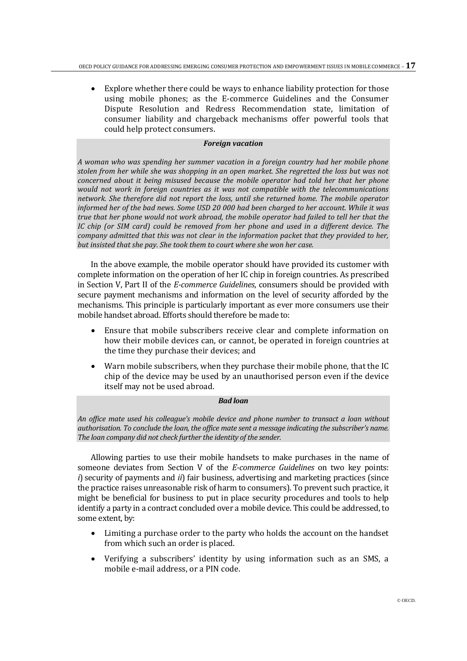Explore whether there could be ways to enhance liability protection for those using mobile phones; as the E-commerce Guidelines and the Consumer Dispute Resolution and Redress Recommendation state, limitation of consumer liability and chargeback mechanisms offer powerful tools that could help protect consumers.

## *Foreign vacation*

*A woman who was spending her summer vacation in a foreign country had her mobile phone stolen from her while she was shopping in an open market. She regretted the loss but was not concerned about it being misused because the mobile operator had told her that her phone would not work in foreign countries as it was not compatible with the telecommunications network. She therefore did not report the loss, until she returned home. The mobile operator informed her of the bad news. Some USD 20 000 had been charged to her account. While it was true that her phone would not work abroad, the mobile operator had failed to tell her that the IC chip (or SIM card) could be removed from her phone and used in a different device. The company admitted that this was not clear in the information packet that they provided to her, but insisted that she pay. She took them to court where she won her case.* 

In the above example, the mobile operator should have provided its customer with complete information on the operation of her IC chip in foreign countries. As prescribed in Section V, Part II of the *E-commerce Guidelines*, consumers should be provided with secure payment mechanisms and information on the level of security afforded by the mechanisms. This principle is particularly important as ever more consumers use their mobile handset abroad. Efforts should therefore be made to:

- Ensure that mobile subscribers receive clear and complete information on how their mobile devices can, or cannot, be operated in foreign countries at the time they purchase their devices; and
- Warn mobile subscribers, when they purchase their mobile phone, that the IC chip of the device may be used by an unauthorised person even if the device itself may not be used abroad.

#### *Bad loan*

*An office mate used his colleague's mobile device and phone number to transact a loan without authorisation. To conclude the loan, the office mate sent a message indicating the subscriber's name. The loan company did not check further the identity of the sender.*

Allowing parties to use their mobile handsets to make purchases in the name of someone deviates from Section V of the *E-commerce Guidelines* on two key points: *i*) security of payments and *ii*) fair business, advertising and marketing practices (since the practice raises unreasonable risk of harm to consumers). To prevent such practice, it might be beneficial for business to put in place security procedures and tools to help identify a party in a contract concluded over a mobile device. This could be addressed, to some extent, by:

- Limiting a purchase order to the party who holds the account on the handset from which such an order is placed.
- Verifying a subscribers' identity by using information such as an SMS, a mobile e-mail address, or a PIN code.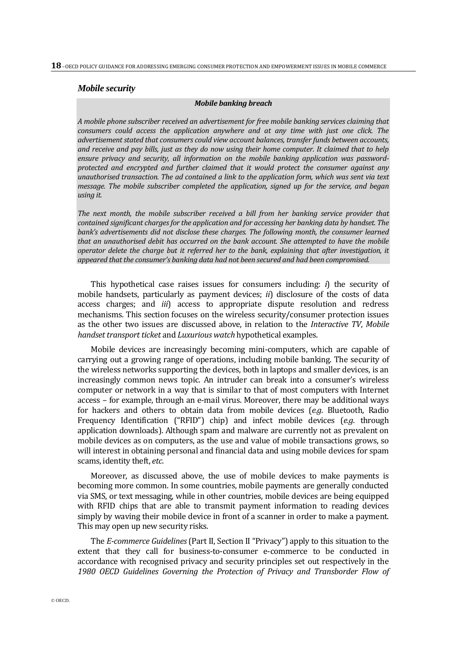#### *Mobile security*

#### *Mobile banking breach*

*A mobile phone subscriber received an advertisement for free mobile banking services claiming that consumers could access the application anywhere and at any time with just one click. The advertisement stated that consumers could view account balances, transfer funds between accounts, and receive and pay bills, just as they do now using their home computer. It claimed that to help ensure privacy and security, all information on the mobile banking application was passwordprotected and encrypted and further claimed that it would protect the consumer against any unauthorised transaction. The ad contained a link to the application form, which was sent via text message. The mobile subscriber completed the application, signed up for the service, and began using it.* 

*The next month, the mobile subscriber received a bill from her banking service provider that contained significant charges for the application and for accessing her banking data by handset. The*  bank's advertisements did not disclose these charges. The following month, the consumer learned *that an unauthorised debit has occurred on the bank account. She attempted to have the mobile operator delete the charge but it referred her to the bank, explaining that after investigation, it appeared that the consumer's banking data had not been secured and had been compromised.* 

This hypothetical case raises issues for consumers including: *i*) the security of mobile handsets, particularly as payment devices; *ii*) disclosure of the costs of data access charges; and *iii*) access to appropriate dispute resolution and redress mechanisms. This section focuses on the wireless security/consumer protection issues as the other two issues are discussed above, in relation to the *Interactive TV*, *Mobile handset transport ticket* and *Luxurious watch* hypothetical examples.

Mobile devices are increasingly becoming mini-computers, which are capable of carrying out a growing range of operations, including mobile banking. The security of the wireless networks supporting the devices, both in laptops and smaller devices, is an increasingly common news topic. An intruder can break into a consumer's wireless computer or network in a way that is similar to that of most computers with Internet access – for example, through an e-mail virus. Moreover, there may be additional ways for hackers and others to obtain data from mobile devices (*e.g*. Bluetooth, Radio Frequency Identification ("RFID") chip) and infect mobile devices (*e.g*. through application downloads). Although spam and malware are currently not as prevalent on mobile devices as on computers, as the use and value of mobile transactions grows, so will interest in obtaining personal and financial data and using mobile devices for spam scams, identity theft, *etc*.

Moreover, as discussed above, the use of mobile devices to make payments is becoming more common. In some countries, mobile payments are generally conducted via SMS, or text messaging, while in other countries, mobile devices are being equipped with RFID chips that are able to transmit payment information to reading devices simply by waving their mobile device in front of a scanner in order to make a payment. This may open up new security risks.

The *E-commerce Guidelines* (Part II, Section II "Privacy") apply to this situation to the extent that they call for business-to-consumer e-commerce to be conducted in accordance with recognised privacy and security principles set out respectively in the *1980 OECD Guidelines Governing the Protection of Privacy and Transborder Flow of*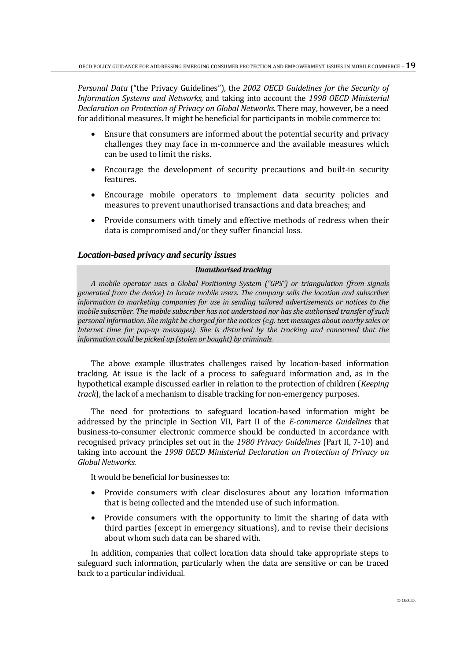*Personal Data* ("the Privacy Guidelines"), the *2002 OECD Guidelines for the Security of Information Systems and Networks*, and taking into account the *1998 OECD Ministerial Declaration on Protection of Privacy on Global Networks*. There may, however, be a need for additional measures. It might be beneficial for participants in mobile commerce to:

- Ensure that consumers are informed about the potential security and privacy challenges they may face in m-commerce and the available measures which can be used to limit the risks.
- Encourage the development of security precautions and built-in security features.
- Encourage mobile operators to implement data security policies and measures to prevent unauthorised transactions and data breaches; and
- Provide consumers with timely and effective methods of redress when their data is compromised and/or they suffer financial loss.

## *Location-based privacy and security issues*

## *Unauthorised tracking*

*A mobile operator uses a Global Positioning System ("GPS") or triangulation (from signals generated from the device) to locate mobile users. The company sells the location and subscriber information to marketing companies for use in sending tailored advertisements or notices to the mobile subscriber. The mobile subscriber has not understood nor has she authorised transfer of such personal information. She might be charged for the notices (e.g. text messages about nearby sales or Internet time for pop-up messages). She is disturbed by the tracking and concerned that the information could be picked up (stolen or bought) by criminals.*

The above example illustrates challenges raised by location-based information tracking. At issue is the lack of a process to safeguard information and, as in the hypothetical example discussed earlier in relation to the protection of children (*Keeping track*), the lack of a mechanism to disable tracking for non-emergency purposes.

The need for protections to safeguard location-based information might be addressed by the principle in Section VII, Part II of the *E-commerce Guidelines* that business-to-consumer electronic commerce should be conducted in accordance with recognised privacy principles set out in the *1980 Privacy Guidelines* (Part II, 7-10) and taking into account the *1998 OECD Ministerial Declaration on Protection of Privacy on Global Networks*.

It would be beneficial for businesses to:

- Provide consumers with clear disclosures about any location information that is being collected and the intended use of such information.
- Provide consumers with the opportunity to limit the sharing of data with third parties (except in emergency situations), and to revise their decisions about whom such data can be shared with.

In addition, companies that collect location data should take appropriate steps to safeguard such information, particularly when the data are sensitive or can be traced back to a particular individual.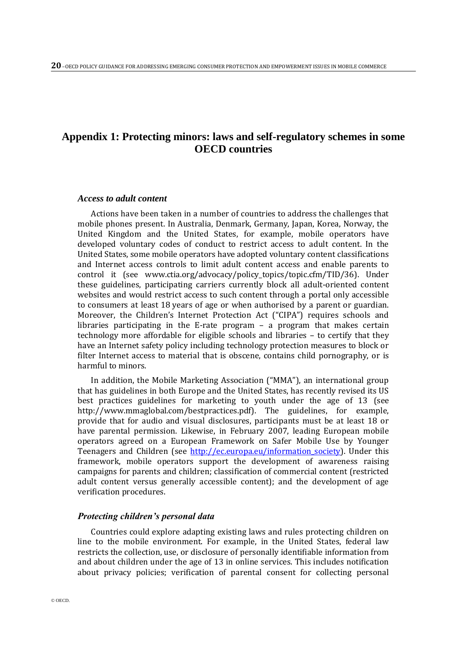# **Appendix 1: Protecting minors: laws and self-regulatory schemes in some OECD countries**

## *Access to adult content*

Actions have been taken in a number of countries to address the challenges that mobile phones present. In Australia, Denmark, Germany, Japan, Korea, Norway, the United Kingdom and the United States, for example, mobile operators have developed voluntary codes of conduct to restrict access to adult content. In the United States, some mobile operators have adopted voluntary content classifications and Internet access controls to limit adult content access and enable parents to control it (see www.ctia.org/advocacy/policy\_topics/topic.cfm/TID/36). Under these guidelines, participating carriers currently block all adult-oriented content websites and would restrict access to such content through a portal only accessible to consumers at least 18 years of age or when authorised by a parent or guardian. Moreover, the Children's Internet Protection Act ("CIPA") requires schools and libraries participating in the E-rate program – a program that makes certain technology more affordable for eligible schools and libraries – to certify that they have an Internet safety policy including technology protection measures to block or filter Internet access to material that is obscene, contains child pornography, or is harmful to minors.

In addition, the Mobile Marketing Association ("MMA"), an international group that has guidelines in both Europe and the United States, has recently revised its US best practices guidelines for marketing to youth under the age of 13 (see http://www.mmaglobal.com/bestpractices.pdf). The guidelines, for example, provide that for audio and visual disclosures, participants must be at least 18 or have parental permission. Likewise, in February 2007, leading European mobile operators agreed on a European Framework on Safer Mobile Use by Younger Teenagers and Children (see http://ec.europa.eu/information society). Under this framework, mobile operators support the development of awareness raising campaigns for parents and children; classification of commercial content (restricted adult content versus generally accessible content); and the development of age verification procedures.

#### *Protecting children's personal data*

Countries could explore adapting existing laws and rules protecting children on line to the mobile environment. For example, in the United States, federal law restricts the collection, use, or disclosure of personally identifiable information from and about children under the age of 13 in online services. This includes notification about privacy policies; verification of parental consent for collecting personal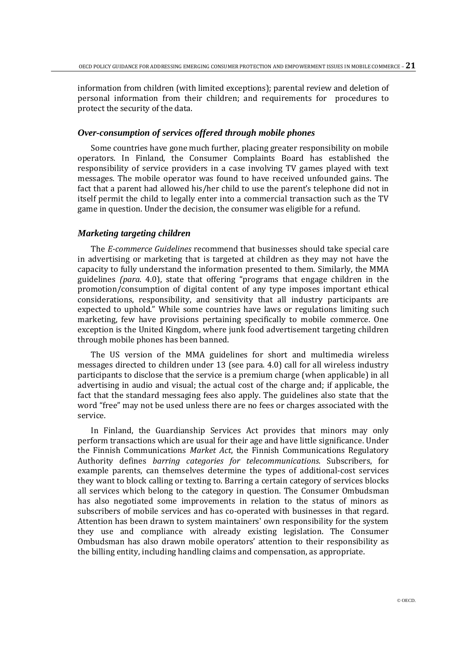information from children (with limited exceptions); parental review and deletion of personal information from their children; and requirements for procedures to protect the security of the data.

## *Over-consumption of services offered through mobile phones*

Some countries have gone much further, placing greater responsibility on mobile operators. In Finland, the Consumer Complaints Board has established the responsibility of service providers in a case involving TV games played with text messages. The mobile operator was found to have received unfounded gains. The fact that a parent had allowed his/her child to use the parent's telephone did not in itself permit the child to legally enter into a commercial transaction such as the TV game in question. Under the decision, the consumer was eligible for a refund.

#### *Marketing targeting children*

The *E-commerce Guidelines* recommend that businesses should take special care in advertising or marketing that is targeted at children as they may not have the capacity to fully understand the information presented to them. Similarly, the MMA guidelines *(para*. 4.0), state that offering "programs that engage children in the promotion/consumption of digital content of any type imposes important ethical considerations, responsibility, and sensitivity that all industry participants are expected to uphold." While some countries have laws or regulations limiting such marketing, few have provisions pertaining specifically to mobile commerce. One exception is the United Kingdom, where junk food advertisement targeting children through mobile phones has been banned.

The US version of the MMA guidelines for short and multimedia wireless messages directed to children under 13 (see para. 4.0) call for all wireless industry participants to disclose that the service is a premium charge (when applicable) in all advertising in audio and visual; the actual cost of the charge and; if applicable, the fact that the standard messaging fees also apply. The guidelines also state that the word "free" may not be used unless there are no fees or charges associated with the service.

In Finland, the Guardianship Services Act provides that minors may only perform transactions which are usual for their age and have little significance. Under the Finnish Communications *Market Act*, the Finnish Communications Regulatory Authority defines *barring categories for telecommunications*. Subscribers, for example parents, can themselves determine the types of additional-cost services they want to block calling or texting to. Barring a certain category of services blocks all services which belong to the category in question. The Consumer Ombudsman has also negotiated some improvements in relation to the status of minors as subscribers of mobile services and has co-operated with businesses in that regard. Attention has been drawn to system maintainers' own responsibility for the system they use and compliance with already existing legislation. The Consumer Ombudsman has also drawn mobile operators' attention to their responsibility as the billing entity, including handling claims and compensation, as appropriate.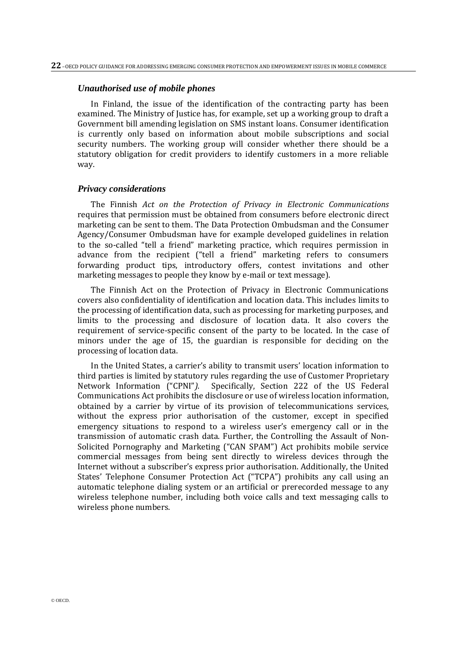#### *Unauthorised use of mobile phones*

In Finland, the issue of the identification of the contracting party has been examined. The Ministry of Justice has, for example, set up a working group to draft a Government bill amending legislation on SMS instant loans. Consumer identification is currently only based on information about mobile subscriptions and social security numbers. The working group will consider whether there should be a statutory obligation for credit providers to identify customers in a more reliable way.

#### *Privacy considerations*

The Finnish *Act on the Protection of Privacy in Electronic Communications* requires that permission must be obtained from consumers before electronic direct marketing can be sent to them. The Data Protection Ombudsman and the Consumer Agency/Consumer Ombudsman have for example developed guidelines in relation to the so-called "tell a friend" marketing practice, which requires permission in advance from the recipient ("tell a friend" marketing refers to consumers forwarding product tips, introductory offers, contest invitations and other marketing messages to people they know by e-mail or text message).

The Finnish Act on the Protection of Privacy in Electronic Communications covers also confidentiality of identification and location data. This includes limits to the processing of identification data, such as processing for marketing purposes, and limits to the processing and disclosure of location data. It also covers the requirement of service-specific consent of the party to be located. In the case of minors under the age of 15, the guardian is responsible for deciding on the processing of location data.

In the United States, a carrier's ability to transmit users' location information to third parties is limited by statutory rules regarding the use of Customer Proprietary Network Information ("CPNI"*).*Specifically, Section 222 of the US Federal Communications Act prohibits the disclosure or use of wireless location information, obtained by a carrier by virtue of its provision of telecommunications services, without the express prior authorisation of the customer, except in specified emergency situations to respond to a wireless user's emergency call or in the transmission of automatic crash data. Further, the Controlling the Assault of Non-Solicited Pornography and Marketing ("CAN SPAM") Act prohibits mobile service commercial messages from being sent directly to wireless devices through the Internet without a subscriber's express prior authorisation. Additionally, the United States' Telephone Consumer Protection Act ("TCPA") prohibits any call using an automatic telephone dialing system or an artificial or prerecorded message to any wireless telephone number, including both voice calls and text messaging calls to wireless phone numbers.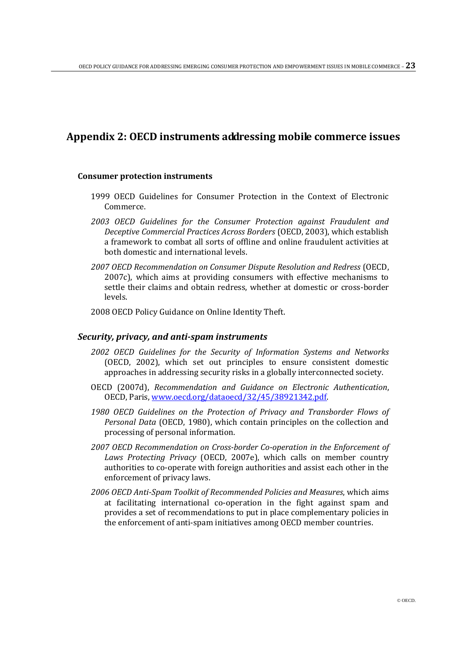# **Appendix 2: OECD instruments addressing mobile commerce issues**

## **Consumer protection instruments**

- 1999 OECD Guidelines for Consumer Protection in the Context of Electronic Commerce.
- *2003 OECD Guidelines for the Consumer Protection against Fraudulent and Deceptive Commercial Practices Across Borders* (OECD, 2003), which establish a framework to combat all sorts of offline and online fraudulent activities at both domestic and international levels.
- *2007 OECD Recommendation on Consumer Dispute Resolution and Redress* (OECD, 2007c), which aims at providing consumers with effective mechanisms to settle their claims and obtain redress, whether at domestic or cross-border levels.
- 2008 OECD Policy Guidance on Online Identity Theft.

## *Security, privacy, and anti-spam instruments*

- *2002 OECD Guidelines for the Security of Information Systems and Networks* (OECD, 2002), which set out principles to ensure consistent domestic approaches in addressing security risks in a globally interconnected society.
- OECD (2007d), *Recommendation and Guidance on Electronic Authentication*, OECD, Paris[, www.oecd.org/dataoecd/32/45/38921342.pdf.](http://www.oecd.org/dataoecd/32/45/38921342.pdf)
- *1980 OECD Guidelines on the Protection of Privacy and Transborder Flows of Personal Data* (OECD, 1980), which contain principles on the collection and processing of personal information.
- *2007 OECD Recommendation on Cross-border Co-operation in the Enforcement of Laws Protecting Privacy* (OECD, 2007e), which calls on member country authorities to co-operate with foreign authorities and assist each other in the enforcement of privacy laws.
- *2006 OECD Anti-Spam Toolkit of Recommended Policies and Measures*, which aims at facilitating international co-operation in the fight against spam and provides a set of recommendations to put in place complementary policies in the enforcement of anti-spam initiatives among OECD member countries.